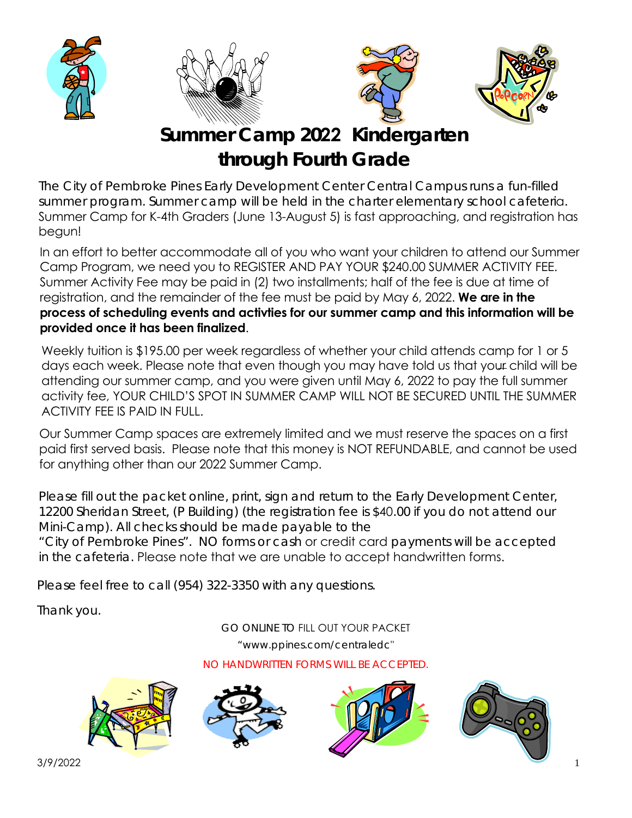







**Summer Camp 2022 Kindergarten through Fourth Grade**

The City of Pembroke Pines Early Development Center Central Campus runs a fun-filled summer program. Summer camp will be held in the charter elementary school cafeteria. Summer Camp for K-4th Graders (June 13-August 5) is fast approaching, and registration has begun!

In an effort to better accommodate all of you who want your children to attend our Summer Camp Program, we need you to REGISTER AND PAY YOUR \$240.00 SUMMER ACTIVITY FEE. Summer Activity Fee may be paid in (2) two installments; half of the fee is due at time of registration, and the remainder of the fee must be paid by May 6, 2022. **We are in the process of scheduling events and activties for our summer camp and this information will be provided once it has been finalized**.

Weekly tuition is \$195.00 per week regardless of whether your child attends camp for 1 or 5 days each week. Please note that even though you may have told us that your child will be attending our summer camp, and you were given until May 6, 2022 to pay the full summer activity fee, YOUR CHILD'S SPOT IN SUMMER CAMP WILL NOT BE SECURED UNTIL THE SUMMER ACTIVITY FEE IS PAID IN FULL.

Our Summer Camp spaces are extremely limited and we must reserve the spaces on a first paid first served basis. Please note that this money is NOT REFUNDABLE, and cannot be used for anything other than our 2022 Summer Camp.

Please fill out the packet online, print, sign and return to the Early Development Center, 12200 Sheridan Street, (P Building) (the registration fee is \$40.00 if you do not attend our Mini-Camp). All checks should be made payable to the

"City of Pembroke Pines". NO forms or cash or credit card payments will be accepted in the cafeteria. Please note that we are unable to accept handwritten forms.

Please feel free to call (954) 322-3350 with any questions.

Thank you.

GO ONLINE TO FILL OUT YOUR PACKET

"www.ppines.com/centraledc"

NO HANDWRITTEN FORMS WILL BE ACCEPTED.







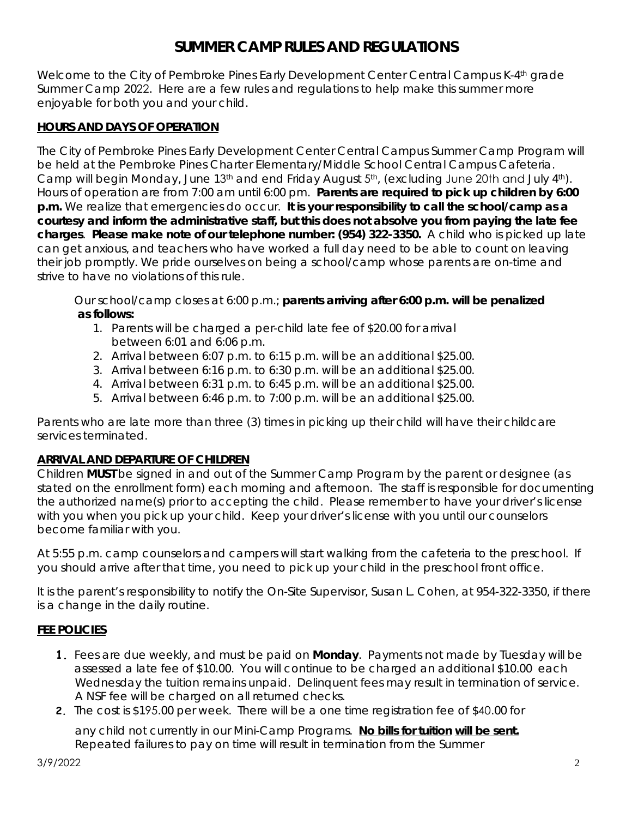## **SUMMER CAMP RULES AND REGULATIONS**

Welcome to the City of Pembroke Pines Early Development Center Central Campus K-4<sup>th</sup> grade Summer Camp 2022. Here are a few rules and regulations to help make this summer more enjoyable for both you and your child.

## **HOURS AND DAYS OF OPERATION**

The City of Pembroke Pines Early Development Center Central Campus Summer Camp Program will be held at the Pembroke Pines Charter Elementary/Middle School Central Campus Cafeteria. Camp will begin Monday, June 13<sup>th</sup> and end Friday August  $5<sup>th</sup>$ , (excluding June 20th and July  $4<sup>th</sup>$ ). Hours of operation are from 7:00 am until 6:00 pm. **Parents are required to pick up children by 6:00 p.m.** We realize that emergencies do occur. **It is your responsibility to call the school/camp as a courtesy and inform the administrative staff, but this does not absolve you from paying the late fee charges**. **Please make note of our telephone number: (954) 322-3350.** A child who is picked up late can get anxious, and teachers who have worked a full day need to be able to count on leaving their job promptly. We pride ourselves on being a school/camp whose parents are on-time and strive to have no violations of this rule.

Our school/camp closes at 6:00 p.m.; **parents arriving after 6:00 p.m. will be penalized as follows:**

- 1. Parents will be charged a per-child late fee of \$20.00 for arrival between 6:01 and 6:06 p.m.
- 2. Arrival between 6:07 p.m. to 6:15 p.m. will be an additional \$25.00.
- 3. Arrival between 6:16 p.m. to 6:30 p.m. will be an additional \$25.00.
- 4. Arrival between 6:31 p.m. to 6:45 p.m. will be an additional \$25.00.
- 5. Arrival between 6:46 p.m. to 7:00 p.m. will be an additional \$25.00.

Parents who are late more than three (3) times in picking up their child will have their childcare services terminated.

## **ARRIVAL AND DEPARTURE OF CHILDREN**

Children **MUST** be signed in and out of the Summer Camp Program by the parent or designee (as stated on the enrollment form) each morning and afternoon. The staff is responsible for documenting the authorized name(s) prior to accepting the child. Please remember to have your driver's license with you when you pick up your child. Keep your driver's license with you until our counselors become familiar with you.

At 5:55 p.m. camp counselors and campers will start walking from the cafeteria to the preschool. If you should arrive after that time, you need to pick up your child in the preschool front office.

It is the parent's responsibility to notify the On-Site Supervisor, Susan L. Cohen, at 954-322-3350, if there is a change in the daily routine.

## **FEE POLICIES**

- **1.** Fees are due weekly, and must be paid on **Monday**. Payments not made by Tuesday will be assessed a late fee of \$10.00. You will continue to be charged an additional \$10.00 each Wednesday the tuition remains unpaid. Delinquent fees may result in termination of service. A NSF fee will be charged on all returned checks.
- **2.** The cost is \$195.00 per week. There will be a one time registration fee of \$40.00 for

any child not currently in our Mini-Camp Programs. **No bills for tuition will be sent.** Repeated failures to pay on time will result in termination from the Summer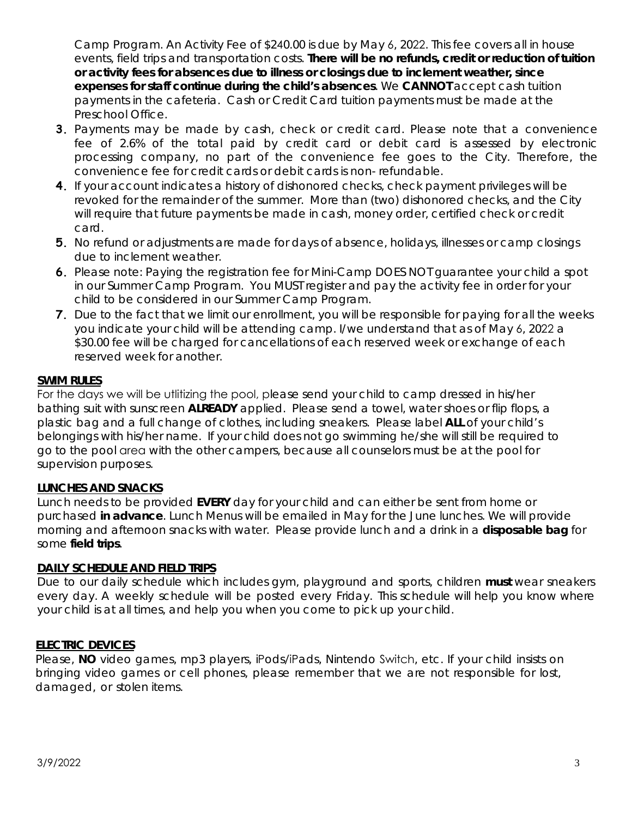Camp Program. An Activity Fee of \$240.00 is due by May 6, 2022. This fee covers all in house events, field trips and transportation costs. **There will be no refunds, credit or reduction of tuition or activity fees for absences due to illness or closings due to inclement weather, since expenses for staff continue during the child's absences**. We **CANNOT** accept cash tuition payments in the cafeteria. Cash or Credit Card tuition payments must be made at the Preschool Office.

- **3.** Payments may be made by cash, check or credit card. Please note that a convenience fee of 2.6% of the total paid by credit card or debit card is assessed by electronic processing company, no part of the convenience fee goes to the City. Therefore, the convenience fee for credit cards or debit cards is non- refundable.
- **4.** If your account indicates a history of dishonored checks, check payment privileges will be revoked for the remainder of the summer. More than (two) dishonored checks, and the City will require that future payments be made in cash, money order, certified check or credit card.
- **5.** No refund or adjustments are made for days of absence, holidays, illnesses or camp closings due to inclement weather.
- **6.** Please note: Paying the registration fee for Mini-Camp DOES NOT guarantee your child a spot in our Summer Camp Program. You MUST register and pay the activity fee in order for your child to be considered in our Summer Camp Program.
- **7.** Due to the fact that we limit our enrollment, you will be responsible for paying for all the weeks you indicate your child will be attending camp. I/we understand that as of May 6, 2022 a \$30.00 fee will be charged for cancellations of each reserved week or exchange of each reserved week for another.

## **SWIM RULES**

For the days we will be utlitizing the pool, please send your child to camp dressed in his/her bathing suit with sunscreen **ALREADY** applied. Please send a towel, water shoes or flip flops, a plastic bag and a full change of clothes, including sneakers. Please label **ALL** of your child's belongings with his/her name. If your child does not go swimming he/she will still be required to go to the pool area with the other campers, because all counselors must be at the pool for supervision purposes.

#### **LUNCHES AND SNACKS**

Lunch needs to be provided **EVERY** day for your child and can either be sent from home or purchased **in advance**. Lunch Menus will be emailed in May for the June lunches. We will provide morning and afternoon snacks with water. Please provide lunch and a drink in a **disposable bag** for some **field trips**.

#### **DAILY SCHEDULE AND FIELD TRIPS**

Due to our daily schedule which includes gym, playground and sports, children **must** wear sneakers every day. A weekly schedule will be posted every Friday. This schedule will help you know where your child is at all times, and help you when you come to pick up your child.

#### **ELECTRIC DEVICES**

Please, **NO** video games, mp3 players, iPods/iPads, Nintendo Switch, etc. If your child insists on bringing video games or cell phones, please remember that we are not responsible for lost, damaged, or stolen items.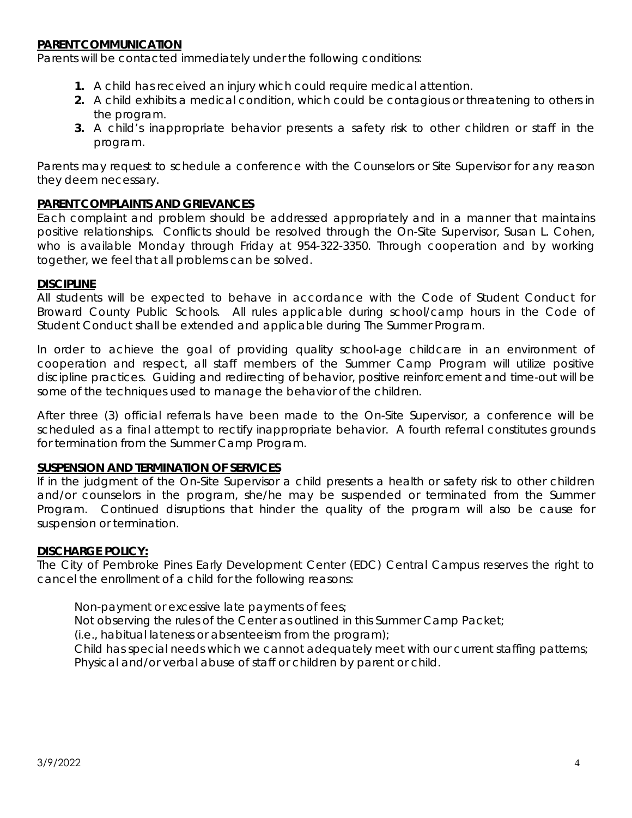#### **PARENT COMMUNICATION**

Parents will be contacted immediately under the following conditions:

- **1.** A child has received an injury which could require medical attention.
- **2.** A child exhibits a medical condition, which could be contagious or threatening to others in the program.
- **3.** A child's inappropriate behavior presents a safety risk to other children or staff in the program.

Parents may request to schedule a conference with the Counselors or Site Supervisor for any reason they deem necessary.

#### **PARENT COMPLAINTS AND GRIEVANCES**

Each complaint and problem should be addressed appropriately and in a manner that maintains positive relationships. Conflicts should be resolved through the On-Site Supervisor, Susan L. Cohen, who is available Monday through Friday at 954-322-3350. Through cooperation and by working together, we feel that all problems can be solved.

#### **DISCIPLINE**

All students will be expected to behave in accordance with the Code of Student Conduct for Broward County Public Schools. All rules applicable during school/camp hours in the Code of Student Conduct shall be extended and applicable during The Summer Program.

In order to achieve the goal of providing quality school-age childcare in an environment of cooperation and respect, all staff members of the Summer Camp Program will utilize positive discipline practices. Guiding and redirecting of behavior, positive reinforcement and time-out will be some of the techniques used to manage the behavior of the children.

After three (3) official referrals have been made to the On-Site Supervisor, a conference will be scheduled as a final attempt to rectify inappropriate behavior. A fourth referral constitutes grounds for termination from the Summer Camp Program.

#### **SUSPENSION AND TERMINATION OF SERVICES**

If in the judgment of the On-Site Supervisor a child presents a health or safety risk to other children and/or counselors in the program, she/he may be suspended or terminated from the Summer Program. Continued disruptions that hinder the quality of the program will also be cause for suspension or termination.

#### **DISCHARGE POLICY:**

The City of Pembroke Pines Early Development Center (EDC) Central Campus reserves the right to cancel the enrollment of a child for the following reasons:

Non-payment or excessive late payments of fees;

Not observing the rules of the Center as outlined in this Summer Camp Packet;

(i.e., habitual lateness or absenteeism from the program);

Child has special needs which we cannot adequately meet with our current staffing patterns; Physical and/or verbal abuse of staff or children by parent or child.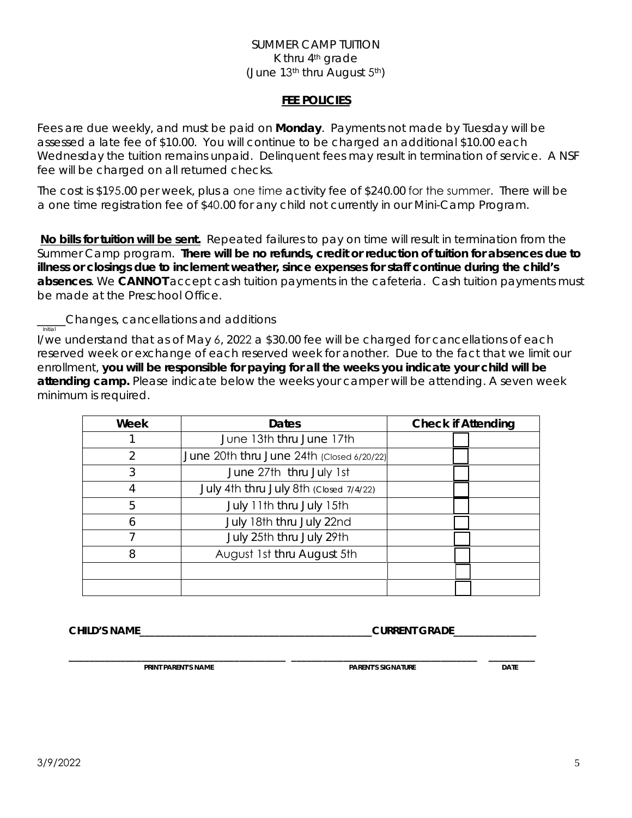#### SUMMER CAMP TUITION K thru  $4<sup>th</sup>$  arade (June 13th thru August 5th)

#### **FEE POLICIES**

Fees are due weekly, and must be paid on **Monday**. Payments not made by Tuesday will be assessed a late fee of \$10.00. You will continue to be charged an additional \$10.00 each Wednesday the tuition remains unpaid. Delinquent fees may result in termination of service. A NSF fee will be charged on all returned checks.

The cost is \$195.00 per week, plus a one time activity fee of \$240.00 for the summer. There will be a one time registration fee of \$40.00 for any child not currently in our Mini-Camp Program.

**No bills for tuition will be sent.** Repeated failures to pay on time will result in termination from the Summer Camp program. **There will be no refunds, credit or reduction of tuition for absences due to illness or closings due to inclement weather, since expenses for staff continue during the child's absences**. We **CANNOT** accept cash tuition payments in the cafeteria. Cash tuition payments must be made at the Preschool Office.

**Changes, cancellations and additions**<br> **Initial** 

I/we understand that as of May 6, 2022 a \$30.00 fee will be charged for cancellations of each reserved week or exchange of each reserved week for another. Due to the fact that we limit our enrollment, **you will be responsible for paying for all the weeks you indicate your child will be attending camp.** Please indicate below the weeks your camper will be attending. A seven week minimum is required.

| Week          | Dates                                     | <b>Check if Attending</b> |
|---------------|-------------------------------------------|---------------------------|
|               | June 13th thru June 17th                  |                           |
| $\mathcal{P}$ | June 20th thru June 24th (Closed 6/20/22) |                           |
| 3             | June 27th thru July 1st                   |                           |
|               | July 4th thru July 8th (Closed 7/4/22)    |                           |
| 5             | July 11th thru July 15th                  |                           |
| 6             | July 18th thru July 22nd                  |                           |
|               | July 25th thru July 29th                  |                           |
| 8             | August 1st thru August 5th                |                           |
|               |                                           |                           |
|               |                                           |                           |

 **CHILD'S NAME\_\_\_\_\_\_\_\_\_\_\_\_\_\_\_\_\_\_\_\_\_\_\_\_\_\_\_\_\_\_\_\_\_\_\_\_\_\_\_\_\_\_\_\_\_CURRENT GRADE\_\_\_\_\_\_\_\_\_\_\_\_\_\_\_\_**

 **\_\_\_\_\_\_\_\_\_\_\_\_\_\_\_\_\_\_\_\_\_\_\_\_\_\_\_\_\_\_\_\_\_\_\_\_\_\_\_\_\_\_ \_\_\_\_\_\_\_\_\_\_\_\_\_\_\_\_\_\_\_\_\_\_\_\_\_\_\_\_\_\_\_\_\_\_\_\_ \_\_\_\_\_\_\_\_\_ PRINT PARENT'S NAME DATE IN EXAMPLE 20 PARENT'S SIGNATURE DATE**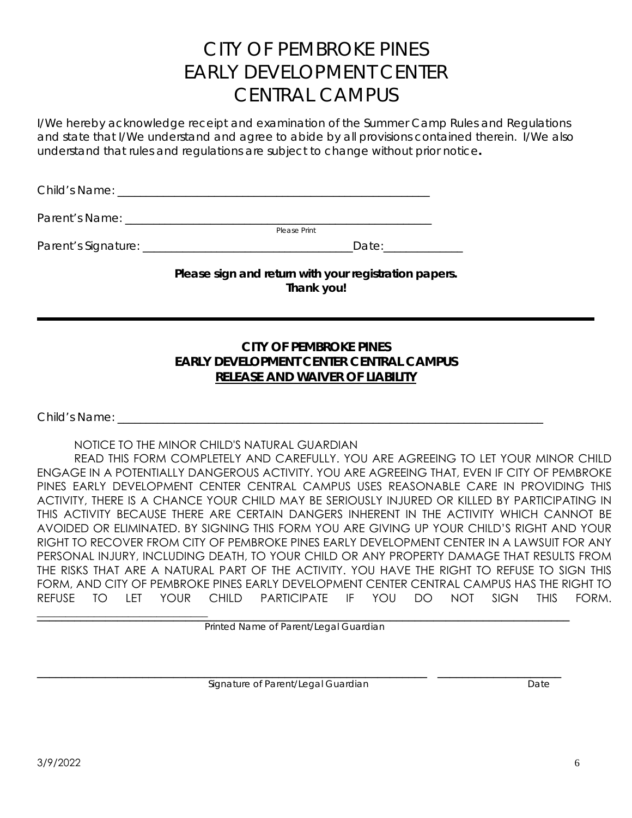# CITY OF PEMBROKE PINES EARLY DEVELOPMENT CENTER CENTRAL CAMPUS

I/We hereby acknowledge receipt and examination of the Summer Camp Rules and Regulations and state that I/We understand and agree to abide by all provisions contained therein. I/We also understand that rules and regulations are subject to change without prior notice**.** 

Child's Name: \_\_\_\_\_\_\_\_\_\_\_\_\_\_\_\_\_\_\_\_\_\_\_\_\_\_\_\_\_\_\_\_\_\_\_\_\_\_\_\_\_\_\_\_\_\_\_\_\_\_\_\_\_\_\_

Parent's Name: \_\_\_\_\_\_\_\_\_\_\_\_\_\_\_\_\_\_\_\_\_\_\_\_\_\_\_\_\_\_\_\_\_\_\_\_\_\_\_\_\_\_\_\_\_\_\_\_\_\_\_\_\_\_ Please Print

Parent's Signature: \_\_\_\_\_\_\_\_\_\_\_\_\_\_\_\_\_\_\_\_\_\_\_\_\_\_\_\_\_\_\_\_\_\_\_\_\_Date:\_\_\_\_\_\_\_\_\_\_\_\_\_\_

**Please sign and return with your registration papers. Thank you!**

## **CITY OF PEMBROKE PINES EARLY DEVELOPMENT CENTER CENTRAL CAMPUS RELEASE AND WAIVER OF LIABILITY**

Child's Name: \_\_\_\_\_\_\_\_\_\_\_\_\_\_\_\_\_\_\_\_\_\_\_\_\_\_\_\_\_\_\_\_\_\_\_\_\_\_\_\_\_\_\_\_\_\_\_\_\_\_\_\_\_\_\_\_\_\_\_\_\_\_\_\_\_\_\_\_\_\_\_\_\_\_\_

## NOTICE TO THE MINOR CHILD'S NATURAL GUARDIAN

READ THIS FORM COMPLETELY AND CAREFULLY. YOU ARE AGREEING TO LET YOUR MINOR CHILD ENGAGE IN A POTENTIALLY DANGEROUS ACTIVITY. YOU ARE AGREEING THAT, EVEN IF CITY OF PEMBROKE PINES EARLY DEVELOPMENT CENTER CENTRAL CAMPUS USES REASONABLE CARE IN PROVIDING THIS ACTIVITY, THERE IS A CHANCE YOUR CHILD MAY BE SERIOUSLY INJURED OR KILLED BY PARTICIPATING IN THIS ACTIVITY BECAUSE THERE ARE CERTAIN DANGERS INHERENT IN THE ACTIVITY WHICH CANNOT BE AVOIDED OR ELIMINATED. BY SIGNING THIS FORM YOU ARE GIVING UP YOUR CHILD'S RIGHT AND YOUR RIGHT TO RECOVER FROM CITY OF PEMBROKE PINES EARLY DEVELOPMENT CENTER IN A LAWSUIT FOR ANY PERSONAL INJURY, INCLUDING DEATH, TO YOUR CHILD OR ANY PROPERTY DAMAGE THAT RESULTS FROM THE RISKS THAT ARE A NATURAL PART OF THE ACTIVITY. YOU HAVE THE RIGHT TO REFUSE TO SIGN THIS FORM, AND CITY OF PEMBROKE PINES EARLY DEVELOPMENT CENTER CENTRAL CAMPUS HAS THE RIGHT TO REFUSE TO LET YOUR CHILD PARTICIPATE IF YOU DO NOT SIGN THIS FORM.

Printed Name of Parent/Legal Guardian

Signature of Parent/Legal Guardian devices and the Signature of Parent/Legal Guardian Date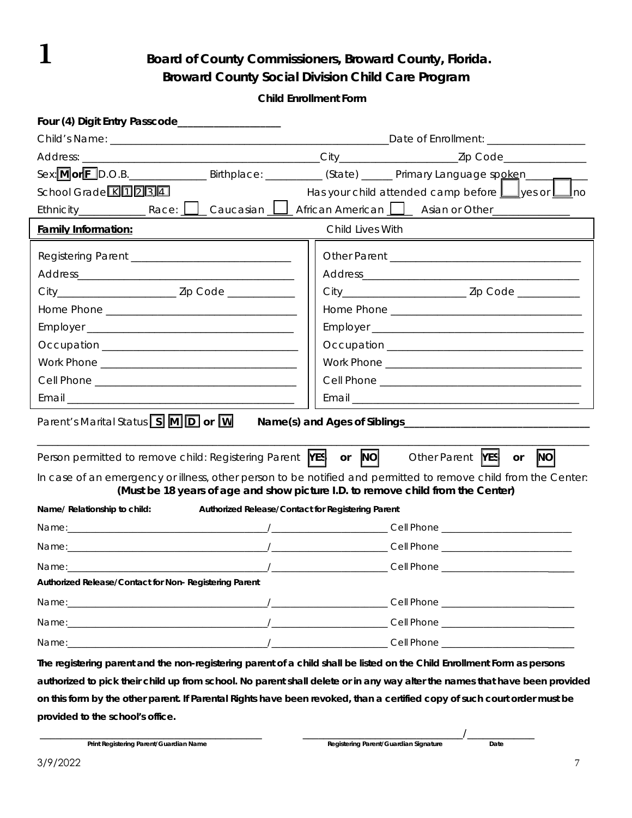1 **Board of County Commissioners, Broward County, Florida. Broward County Social Division Child Care Program** 

 **Child Enrollment Form** 

| Four (4) Digit Entry Passcode___________________                                                                                                                                                  |                                                             |  |  |  |
|---------------------------------------------------------------------------------------------------------------------------------------------------------------------------------------------------|-------------------------------------------------------------|--|--|--|
|                                                                                                                                                                                                   |                                                             |  |  |  |
|                                                                                                                                                                                                   |                                                             |  |  |  |
| Sex:MorED.O.B. _________________Birthplace: ___________ (State) _______ Primary Language spoken_____                                                                                              |                                                             |  |  |  |
| School Grade K11234                                                                                                                                                                               | Has your child attended camp before $\Box$ yes or $\Box$ no |  |  |  |
| Ethnicity Race: Caucasian Carrieran American Costan or Other Communisty                                                                                                                           |                                                             |  |  |  |
| <b>Family Information:</b>                                                                                                                                                                        | Child Lives With                                            |  |  |  |
|                                                                                                                                                                                                   |                                                             |  |  |  |
|                                                                                                                                                                                                   |                                                             |  |  |  |
|                                                                                                                                                                                                   |                                                             |  |  |  |
|                                                                                                                                                                                                   |                                                             |  |  |  |
|                                                                                                                                                                                                   |                                                             |  |  |  |
|                                                                                                                                                                                                   |                                                             |  |  |  |
|                                                                                                                                                                                                   |                                                             |  |  |  |
|                                                                                                                                                                                                   |                                                             |  |  |  |
|                                                                                                                                                                                                   |                                                             |  |  |  |
| Parent's Marital Status <b>S M D or W</b>                                                                                                                                                         |                                                             |  |  |  |
| Person permitted to remove child: Registering Parent <b>YES</b> or NO                                                                                                                             | Other Parent <b>YES</b><br>$\overline{\mathsf{NO}}$<br>or   |  |  |  |
| In case of an emergency or illness, other person to be notified and permitted to remove child from the Center:<br>(Must be 18 years of age and show picture I.D. to remove child from the Center) |                                                             |  |  |  |
| Authorized Release/Contact for Registering Parent<br>Name/ Relationship to child:                                                                                                                 |                                                             |  |  |  |
|                                                                                                                                                                                                   |                                                             |  |  |  |
|                                                                                                                                                                                                   |                                                             |  |  |  |
|                                                                                                                                                                                                   |                                                             |  |  |  |
| Authorized Release/Contact for Non-Registering Parent                                                                                                                                             |                                                             |  |  |  |
|                                                                                                                                                                                                   |                                                             |  |  |  |
|                                                                                                                                                                                                   |                                                             |  |  |  |
|                                                                                                                                                                                                   |                                                             |  |  |  |
| The registering parent and the non-registering parent of a child shall be listed on the Child Enrollment Form as persons                                                                          |                                                             |  |  |  |
| authorized to pick their child up from school. No parent shall delete or in any way alter the names that have been provided                                                                       |                                                             |  |  |  |
| on this form by the other parent. If Parental Rights have been revoked, than a certified copy of such court order must be                                                                         |                                                             |  |  |  |
| provided to the school's office.                                                                                                                                                                  |                                                             |  |  |  |

\_\_\_\_\_\_\_\_\_\_\_\_\_\_\_\_\_\_\_\_\_\_\_\_\_\_\_\_\_\_\_\_\_\_\_\_\_\_\_\_\_\_\_ \_\_\_\_\_\_\_\_\_\_\_\_\_\_\_\_\_\_\_\_\_\_\_\_\_\_\_\_\_\_\_/\_\_\_\_\_\_\_\_\_\_\_\_\_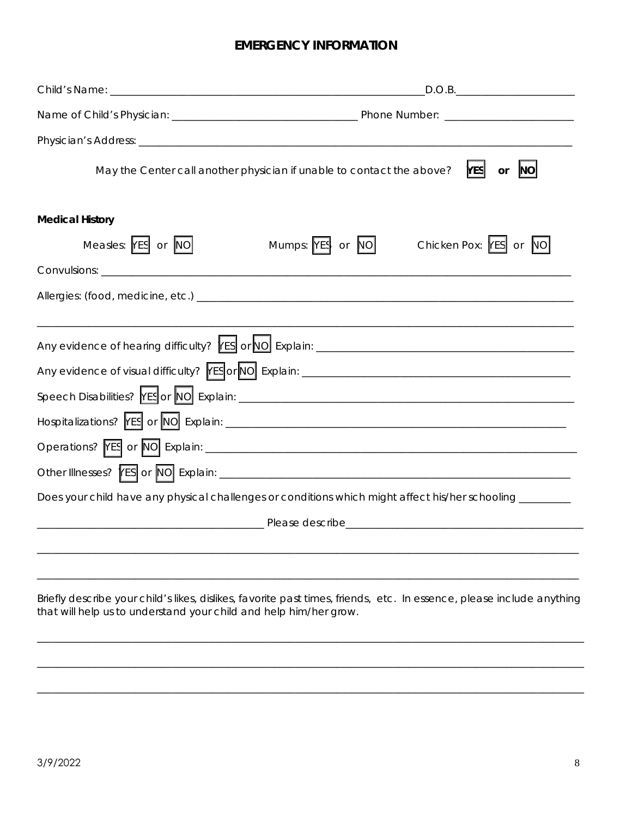## **EMERGENCY INFORMATION**

| May the Center call another physician if unable to contact the above?<br><b>YES</b><br>NO<br>or                                                                                            |  |  |  |
|--------------------------------------------------------------------------------------------------------------------------------------------------------------------------------------------|--|--|--|
| <b>Medical History</b>                                                                                                                                                                     |  |  |  |
| Measles: YES or NO<br>Mumps: YES or NO<br>Chicken Pox: YES or NO                                                                                                                           |  |  |  |
|                                                                                                                                                                                            |  |  |  |
|                                                                                                                                                                                            |  |  |  |
|                                                                                                                                                                                            |  |  |  |
| Does your child have any physical challenges or conditions which might affect his/her schooling ________                                                                                   |  |  |  |
|                                                                                                                                                                                            |  |  |  |
|                                                                                                                                                                                            |  |  |  |
| Briefly describe your child's likes, dislikes, favorite past times, friends, etc. In essence, please include anything<br>that will help us to understand your child and help him/her grow. |  |  |  |

\_\_\_\_\_\_\_\_\_\_\_\_\_\_\_\_\_\_\_\_\_\_\_\_\_\_\_\_\_\_\_\_\_\_\_\_\_\_\_\_\_\_\_\_\_\_\_\_\_\_\_\_\_\_\_\_\_\_\_\_\_\_\_\_\_\_\_\_\_\_\_\_\_\_\_\_\_\_\_\_\_\_\_\_\_\_\_\_\_\_\_\_\_\_\_\_\_\_\_\_\_\_\_\_\_\_

\_\_\_\_\_\_\_\_\_\_\_\_\_\_\_\_\_\_\_\_\_\_\_\_\_\_\_\_\_\_\_\_\_\_\_\_\_\_\_\_\_\_\_\_\_\_\_\_\_\_\_\_\_\_\_\_\_\_\_\_\_\_\_\_\_\_\_\_\_\_\_\_\_\_\_\_\_\_\_\_\_\_\_\_\_\_\_\_\_\_\_\_\_\_\_\_\_\_\_\_\_\_\_\_\_\_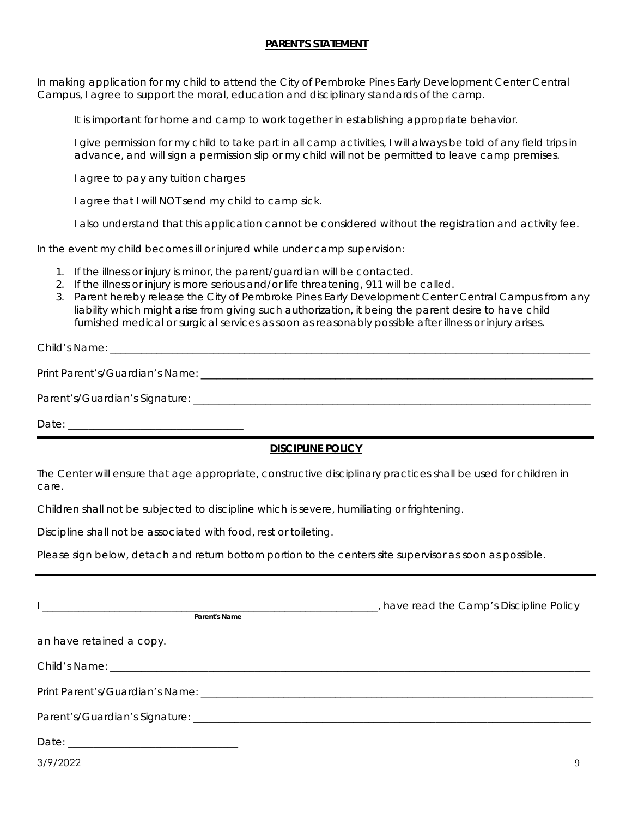#### **PARENT'S STATEMENT**

In making application for my child to attend the City of Pembroke Pines Early Development Center Central Campus, I agree to support the moral, education and disciplinary standards of the camp.

It is important for home and camp to work together in establishing appropriate behavior.

I give permission for my child to take part in all camp activities, I will always be told of any field trips in advance, and will sign a permission slip or my child will not be permitted to leave camp premises.

I agree to pay any tuition charges

I agree that I will NOT send my child to camp sick.

I also understand that this application cannot be considered without the registration and activity fee.

In the event my child becomes ill or injured while under camp supervision:

- 1. If the illness or injury is minor, the parent/guardian will be contacted.
- 2. If the illness or injury is more serious and/or life threatening, 911 will be called.
- 3. Parent hereby release the City of Pembroke Pines Early Development Center Central Campus from any liability which might arise from giving such authorization, it being the parent desire to have child furnished medical or surgical services as soon as reasonably possible after illness or injury arises.

Child's Name:

Print Parent's/Guardian's Name: \_\_\_\_\_\_\_\_\_\_\_\_\_\_\_\_\_\_\_\_\_\_\_\_\_\_\_\_\_\_\_\_\_\_\_\_\_\_\_\_\_\_\_\_\_\_\_\_\_\_\_\_\_\_\_\_\_\_\_\_\_\_\_\_\_\_\_\_\_\_\_\_\_\_\_\_

Parent's/Guardian's Signature:

Date: \_\_\_\_\_\_\_\_\_\_\_\_\_\_\_\_\_\_\_\_\_\_\_\_\_\_\_\_\_\_\_\_\_\_

## **DISCIPLINE POLICY**

The Center will ensure that age appropriate, constructive disciplinary practices shall be used for children in care.

Children shall not be subjected to discipline which is severe, humiliating or frightening.

Discipline shall not be associated with food, rest or toileting.

Please sign below, detach and return bottom portion to the centers site supervisor as soon as possible.

| Parent's Name            | have read the Camp's Discipline Policy |  |
|--------------------------|----------------------------------------|--|
| an have retained a copy. |                                        |  |
|                          |                                        |  |
|                          |                                        |  |
|                          |                                        |  |
|                          |                                        |  |

3/9/2022 9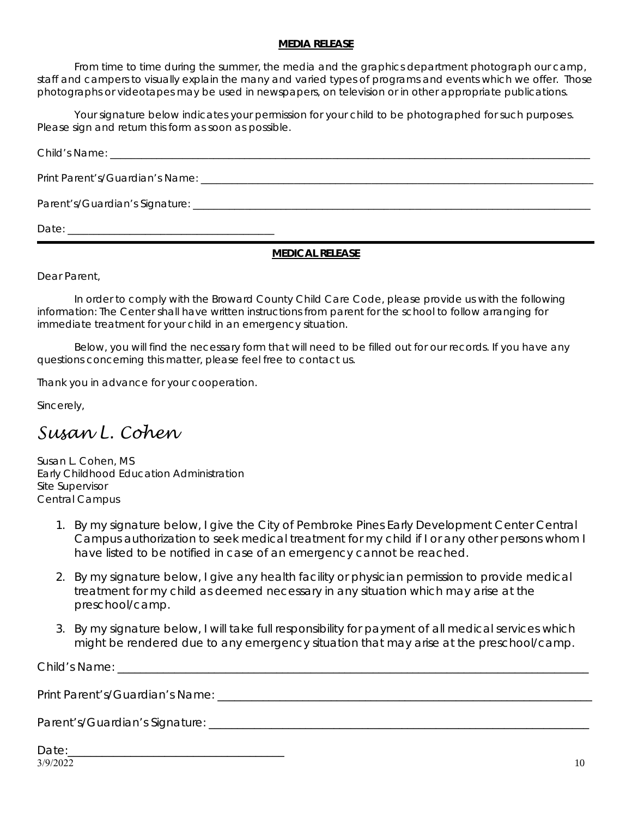#### **MEDIA RELEASE**

From time to time during the summer, the media and the graphics department photograph our camp, staff and campers to visually explain the many and varied types of programs and events which we offer. Those photographs or videotapes may be used in newspapers, on television or in other appropriate publications.

Your signature below indicates your permission for your child to be photographed for such purposes. Please sign and return this form as soon as possible.

Child's Name: \_\_\_\_\_\_\_\_\_\_\_\_\_\_\_\_\_\_\_\_\_\_\_\_\_\_\_\_\_\_\_\_\_\_\_\_\_\_\_\_\_\_\_\_\_\_\_\_\_\_\_\_\_\_\_\_\_\_\_\_\_\_\_\_\_\_\_\_\_\_\_\_\_\_\_\_\_\_\_\_\_\_\_\_\_\_\_\_\_\_\_\_\_ Print Parent's/Guardian's Name: \_\_\_\_\_\_\_\_\_\_\_\_\_\_\_\_\_\_\_\_\_\_\_\_\_\_\_\_\_\_\_\_\_\_\_\_\_\_\_\_\_\_\_\_\_\_\_\_\_\_\_\_\_\_\_\_\_\_\_\_\_\_\_\_\_\_\_\_\_\_\_\_\_\_\_\_ Parent's/Guardian's Signature: \_\_\_\_\_\_\_\_\_\_\_\_\_\_\_\_\_\_\_\_\_\_\_\_\_\_\_\_\_\_\_\_\_\_\_\_\_\_\_\_\_\_\_\_\_\_\_\_\_\_\_\_\_\_\_\_\_\_\_\_\_\_\_\_\_\_\_\_\_\_\_\_\_\_\_\_\_ Date:

#### **MEDICAL RELEASE**

Dear Parent,

In order to comply with the Broward County Child Care Code, please provide us with the following information: The Center shall have written instructions from parent for the school to follow arranging for immediate treatment for your child in an emergency situation.

Below, you will find the necessary form that will need to be filled out for our records. If you have any questions concerning this matter, please feel free to contact us.

Thank you in advance for your cooperation.

Sincerely,

## *Susan L. Cohen*

Susan L. Cohen, MS Early Childhood Education Administration Site Supervisor Central Campus

- 1. By my signature below, I give the City of Pembroke Pines Early Development Center Central Campus authorization to seek medical treatment for my child if I or any other persons whom I have listed to be notified in case of an emergency cannot be reached.
- 2. By my signature below, I give any health facility or physician permission to provide medical treatment for my child as deemed necessary in any situation which may arise at the preschool/camp.
- 3. By my signature below, I will take full responsibility for payment of all medical services which might be rendered due to any emergency situation that may arise at the preschool/camp.

Child's Name:

Print Parent's/Guardian's Name: \_\_\_\_\_\_\_\_\_\_\_\_\_\_\_\_\_\_\_\_\_\_\_\_\_\_\_\_\_\_\_\_\_\_\_\_\_\_\_\_\_\_\_\_\_\_\_\_\_\_\_\_\_\_\_\_\_\_\_\_\_\_\_\_\_\_

Parent's/Guardian's Signature: \_\_\_\_\_\_\_\_\_\_\_\_\_\_\_\_\_\_\_\_\_\_\_\_\_\_\_\_\_\_\_\_\_\_\_\_\_\_\_\_\_\_\_\_\_\_\_\_\_\_\_\_\_\_\_\_\_\_\_\_\_\_\_\_\_\_\_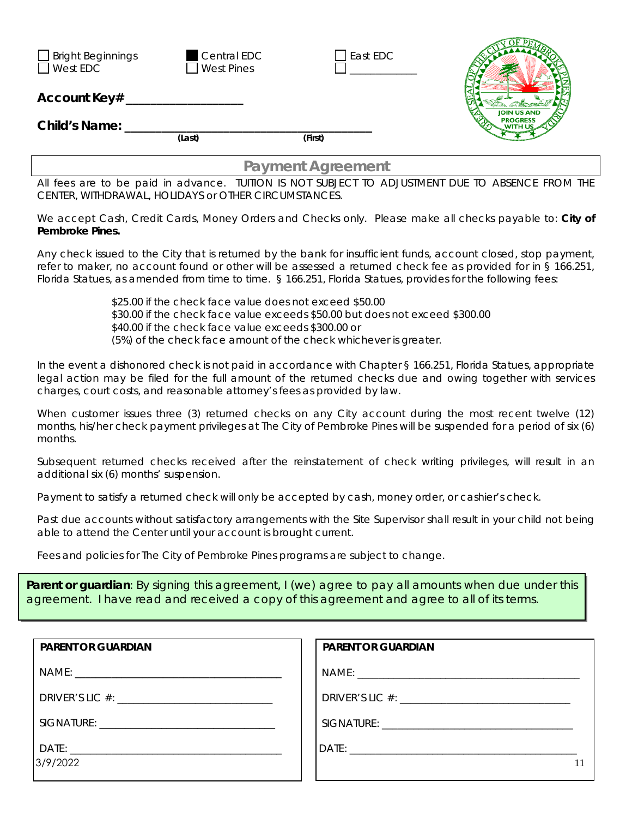| $\Box$ Bright Beginnings<br>$\Box$ West EDC<br>Account Key# | <b>Central EDC</b><br>$\Box$ West Pines | East EDC |                                       |  |
|-------------------------------------------------------------|-----------------------------------------|----------|---------------------------------------|--|
|                                                             |                                         |          | <b>JOIN US AND</b><br><b>PROGRESS</b> |  |
| Child's Name:                                               |                                         |          |                                       |  |
|                                                             | (Last)                                  | (First)  |                                       |  |
| <b>Payment Agreement</b>                                    |                                         |          |                                       |  |

All fees are to be paid in advance. TUITION IS NOT SUBJECT TO ADJUSTMENT DUE TO ABSENCE FROM THE CENTER, WITHDRAWAL, HOLIDAYS or OTHER CIRCUMSTANCES.

We accept Cash, Credit Cards, Money Orders and Checks only. Please make all checks payable to: **City of Pembroke Pines.** 

Any check issued to the City that is returned by the bank for insufficient funds, account closed, stop payment, refer to maker, no account found or other will be assessed a returned check fee as provided for in § 166.251, Florida Statues, as amended from time to time. § 166.251, Florida Statues, provides for the following fees:

> \$25.00 if the check face value does not exceed \$50.00 \$30.00 if the check face value exceeds \$50.00 but does not exceed \$300.00 \$40.00 if the check face value exceeds \$300.00 or (5%) of the check face amount of the check whichever is greater.

In the event a dishonored check is not paid in accordance with Chapter § 166.251, Florida Statues, appropriate legal action may be filed for the full amount of the returned checks due and owing together with services charges, court costs, and reasonable attorney's fees as provided by law.

When customer issues three (3) returned checks on any City account during the most recent twelve (12) months, his/her check payment privileges at The City of Pembroke Pines will be suspended for a period of six (6) months.

Subsequent returned checks received after the reinstatement of check writing privileges, will result in an additional six (6) months' suspension.

Payment to satisfy a returned check will only be accepted by cash, money order, or cashier's check.

Past due accounts without satisfactory arrangements with the Site Supervisor shall result in your child not being able to attend the Center until your account is brought current.

Fees and policies for The City of Pembroke Pines programs are subject to change.

**Parent or guardian**: By signing this agreement, I (we) agree to pay all amounts when due under this agreement. I have read and received a copy of this agreement and agree to all of its terms.

| <b>PARENT OR GUARDIAN</b> | <b>PARENT OR GUARDIAN</b> |
|---------------------------|---------------------------|
|                           |                           |
|                           |                           |
|                           |                           |
| 3/9/2022                  |                           |